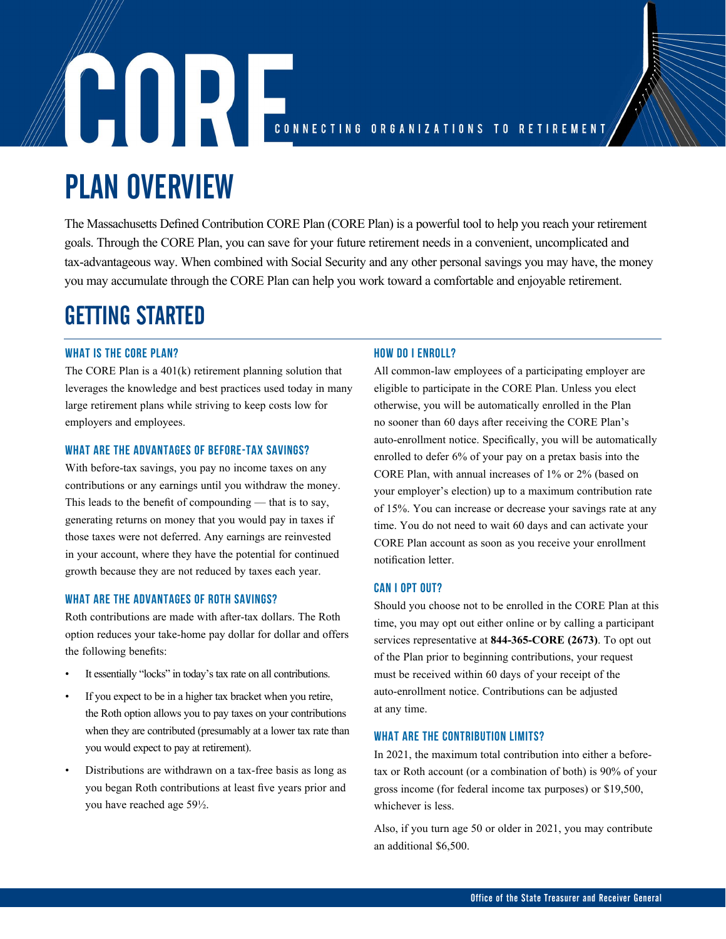# CONNECTING ORGANIZATIONS TO RETIREMENT

# PLAN OVERVIEW

The Massachusetts Defined Contribution CORE Plan (CORE Plan) is a powerful tool to help you reach your retirement goals. Through the CORE Plan, you can save for your future retirement needs in a convenient, uncomplicated and tax-advantageous way. When combined with Social Security and any other personal savings you may have, the money you may accumulate through the CORE Plan can help you work toward a comfortable and enjoyable retirement.

# GETTING STARTED

# WHAT IS THE CORE PLAN?

The CORE Plan is a 401(k) retirement planning solution that leverages the knowledge and best practices used today in many large retirement plans while striving to keep costs low for employers and employees.

# WHAT ARE THE ADVANTAGES OF BEFORE-TAX SAVINGS?

With before-tax savings, you pay no income taxes on any contributions or any earnings until you withdraw the money. This leads to the benefit of compounding — that is to say, generating returns on money that you would pay in taxes if those taxes were not deferred. Any earnings are reinvested in your account, where they have the potential for continued growth because they are not reduced by taxes each year.

# WHAT ARE THE ADVANTAGES OF ROTH SAVINGS?

Roth contributions are made with after-tax dollars. The Roth option reduces your take-home pay dollar for dollar and offers the following benefits:

- It essentially "locks" in today's tax rate on all contributions.
- If you expect to be in a higher tax bracket when you retire, the Roth option allows you to pay taxes on your contributions when they are contributed (presumably at a lower tax rate than you would expect to pay at retirement).
- Distributions are withdrawn on a tax-free basis as long as you began Roth contributions at least five years prior and you have reached age 59½.

# HOW DO I ENROLL?

All common-law employees of a participating employer are eligible to participate in the CORE Plan. Unless you elect otherwise, you will be automatically enrolled in the Plan no sooner than 60 days after receiving the CORE Plan's auto-enrollment notice. Specifically, you will be automatically enrolled to defer 6% of your pay on a pretax basis into the CORE Plan, with annual increases of 1% or 2% (based on your employer's election) up to a maximum contribution rate of 15%. You can increase or decrease your savings rate at any time. You do not need to wait 60 days and can activate your CORE Plan account as soon as you receive your enrollment notification letter.

# CAN I OPT OUT?

Should you choose not to be enrolled in the CORE Plan at this time, you may opt out either online or by calling a participant services representative at **844-365-CORE (2673)**. To opt out of the Plan prior to beginning contributions, your request must be received within 60 days of your receipt of the auto-enrollment notice. Contributions can be adjusted at any time.

# WHAT ARE THE CONTRIBUTION LIMITS?

In 2021, the maximum total contribution into either a beforetax or Roth account (or a combination of both) is 90% of your gross income (for federal income tax purposes) or \$19,500, whichever is less.

Also, if you turn age 50 or older in 2021, you may contribute an additional \$6,500.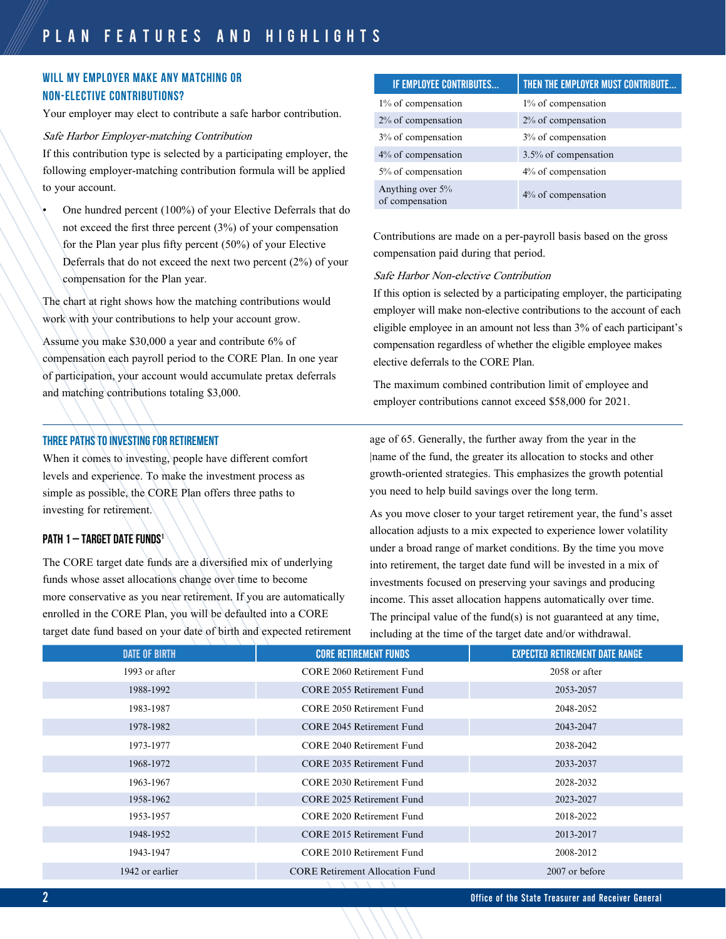# WILL MY EMPLOYER MAKE ANY MATCHING OR NON-ELECTIVE CONTRIBUTIONS?

Your employer may elect to contribute a safe harbor contribution.

Safe Harbor Employer-matching Contribution

If this contribution type is selected by a participating employer, the following employer-matching contribution formula will be applied to your account.

• One hundred percent (100%) of your Elective Deferrals that do not exceed the first three percent (3%) of your compensation for the Plan year plus fifty percent (50%) of your Elective Deferrals that do not exceed the next two percent (2%) of your compensation for the Plan year.

The chart at right shows how the matching contributions would work with your contributions to help your account grow.

Assume you make \$30,000 a year and contribute 6% of compensation each payroll period to the CORE Plan. In one year of participation, your account would accumulate pretax deferrals and matching contributions totaling \$3,000.

# Three PATHS TO INVESTING FOR RETIREMENT

When it comes to investing, people have different comfort levels and experience. To make the investment process as simple as possible, the CORE Plan offers three paths to investing for retirement.

# PATH 1 - TARGET DATE FUNDS<sup>1</sup>

The CORE target date funds are a diversified mix of underlying funds whose asset allocations change over time to become more conservative as you near retirement. If you are automatically enrolled in the CORE Plan, you will be defaulted into a CORE target date fund based on your date of birth and expected retirement

| IF EMPLOYEE CONTRIBUTES             | THEN THE EMPLOYER MUST CONTRIBUTE |
|-------------------------------------|-----------------------------------|
| $1\%$ of compensation               | 1% of compensation                |
| 2% of compensation                  | 2% of compensation                |
| 3% of compensation                  | 3% of compensation                |
| 4% of compensation                  | 3.5% of compensation              |
| 5% of compensation                  | $4\%$ of compensation             |
| Anything over 5%<br>of compensation | 4% of compensation                |

Contributions are made on a per-payroll basis based on the gross compensation paid during that period.

### Safe Harbor Non-elective Contribution

If this option is selected by a participating employer, the participating employer will make non-elective contributions to the account of each eligible employee in an amount not less than 3% of each participant's compensation regardless of whether the eligible employee makes elective deferrals to the CORE Plan.

The maximum combined contribution limit of employee and employer contributions cannot exceed \$58,000 for 2021.

age of 65. Generally, the further away from the year in the |name of the fund, the greater its allocation to stocks and other growth-oriented strategies. This emphasizes the growth potential you need to help build savings over the long term.

As you move closer to your target retirement year, the fund's asset allocation adjusts to a mix expected to experience lower volatility under a broad range of market conditions. By the time you move into retirement, the target date fund will be invested in a mix of investments focused on preserving your savings and producing income. This asset allocation happens automatically over time. The principal value of the fund(s) is not guaranteed at any time, including at the time of the target date and/or withdrawal.

| <b>DATE OF BIRTH</b> | <b>CORE RETIREMENT FUNDS</b>           | <b>EXPECTED RETIREMENT DATE RANGE</b> |
|----------------------|----------------------------------------|---------------------------------------|
| 1993 or after        | CORE 2060 Retirement Fund              | 2058 or after                         |
| 1988-1992            | CORE 2055 Retirement Fund              | 2053-2057                             |
| 1983-1987            | CORE 2050 Retirement Fund              | 2048-2052                             |
| 1978-1982            | CORE 2045 Retirement Fund              | 2043-2047                             |
| 1973-1977            | CORE 2040 Retirement Fund              | 2038-2042                             |
| 1968-1972            | CORE 2035 Retirement Fund              | 2033-2037                             |
| 1963-1967            | CORE 2030 Retirement Fund              | 2028-2032                             |
| 1958-1962            | CORE 2025 Retirement Fund              | 2023-2027                             |
| 1953-1957            | CORE 2020 Retirement Fund              | 2018-2022                             |
| 1948-1952            | CORE 2015 Retirement Fund              | 2013-2017                             |
| 1943-1947            | CORE 2010 Retirement Fund              | 2008-2012                             |
| 1942 or earlier      | <b>CORE Retirement Allocation Fund</b> | 2007 or before                        |
|                      |                                        |                                       |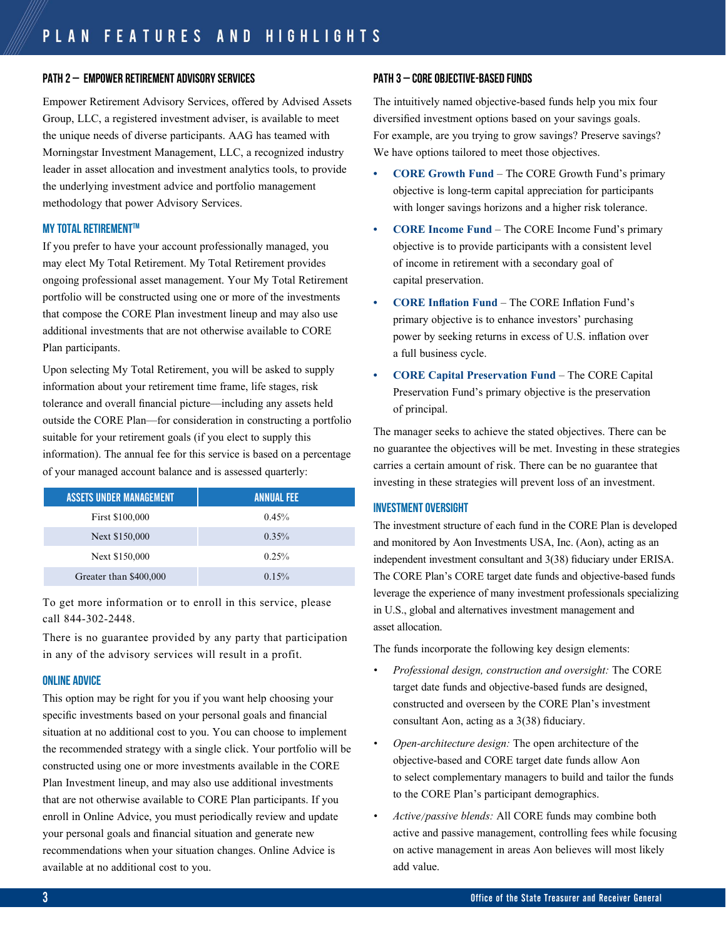### PATH 2 – Empower retirement advisory services

Empower Retirement Advisory Services, offered by Advised Assets Group, LLC, a registered investment adviser, is available to meet the unique needs of diverse participants. AAG has teamed with Morningstar Investment Management, LLC, a recognized industry leader in asset allocation and investment analytics tools, to provide the underlying investment advice and portfolio management methodology that power Advisory Services.

### **MY TOTAL RETIREMENT™**

If you prefer to have your account professionally managed, you may elect My Total Retirement. My Total Retirement provides ongoing professional asset management. Your My Total Retirement portfolio will be constructed using one or more of the investments that compose the CORE Plan investment lineup and may also use additional investments that are not otherwise available to CORE Plan participants.

Upon selecting My Total Retirement, you will be asked to supply information about your retirement time frame, life stages, risk tolerance and overall financial picture—including any assets held outside the CORE Plan—for consideration in constructing a portfolio suitable for your retirement goals (if you elect to supply this information). The annual fee for this service is based on a percentage of your managed account balance and is assessed quarterly:

| <b>ASSETS UNDER MANAGEMENT</b> | <b>ANNUAL FEE</b> |
|--------------------------------|-------------------|
| First \$100,000                | 0.45%             |
| Next \$150,000                 | 0.35%             |
| Next \$150,000                 | 0.25%             |
| Greater than \$400,000         | 0.15%             |

To get more information or to enroll in this service, please call 844-302-2448.

There is no guarantee provided by any party that participation in any of the advisory services will result in a profit.

### online advice

This option may be right for you if you want help choosing your specific investments based on your personal goals and financial situation at no additional cost to you. You can choose to implement the recommended strategy with a single click. Your portfolio will be constructed using one or more investments available in the CORE Plan Investment lineup, and may also use additional investments that are not otherwise available to CORE Plan participants. If you enroll in Online Advice, you must periodically review and update your personal goals and financial situation and generate new recommendations when your situation changes. Online Advice is available at no additional cost to you.

# PATH 3 – CORE OBJECTIVE-BASED FUNDS

The intuitively named objective-based funds help you mix four diversified investment options based on your savings goals. For example, are you trying to grow savings? Preserve savings? We have options tailored to meet those objectives.

- **• CORE Growth Fund** The CORE Growth Fund's primary objective is long-term capital appreciation for participants with longer savings horizons and a higher risk tolerance.
- **• CORE Income Fund** The CORE Income Fund's primary objective is to provide participants with a consistent level of income in retirement with a secondary goal of capital preservation.
- **• CORE Inflation Fund** The CORE Inflation Fund's primary objective is to enhance investors' purchasing power by seeking returns in excess of U.S. inflation over a full business cycle.
- **• CORE Capital Preservation Fund** The CORE Capital Preservation Fund's primary objective is the preservation of principal.

The manager seeks to achieve the stated objectives. There can be no guarantee the objectives will be met. Investing in these strategies carries a certain amount of risk. There can be no guarantee that investing in these strategies will prevent loss of an investment.

# investment oversight

The investment structure of each fund in the CORE Plan is developed and monitored by Aon Investments USA, Inc. (Aon), acting as an independent investment consultant and 3(38) fiduciary under ERISA. The CORE Plan's CORE target date funds and objective-based funds leverage the experience of many investment professionals specializing in U.S., global and alternatives investment management and asset allocation.

The funds incorporate the following key design elements:

- *• Professional design, construction and oversight:* The CORE target date funds and objective-based funds are designed, constructed and overseen by the CORE Plan's investment consultant Aon, acting as a 3(38) fiduciary.
- *• Open-architecture design:* The open architecture of the objective-based and CORE target date funds allow Aon to select complementary managers to build and tailor the funds to the CORE Plan's participant demographics.
- *• Active/passive blends:* All CORE funds may combine both active and passive management, controlling fees while focusing on active management in areas Aon believes will most likely add value.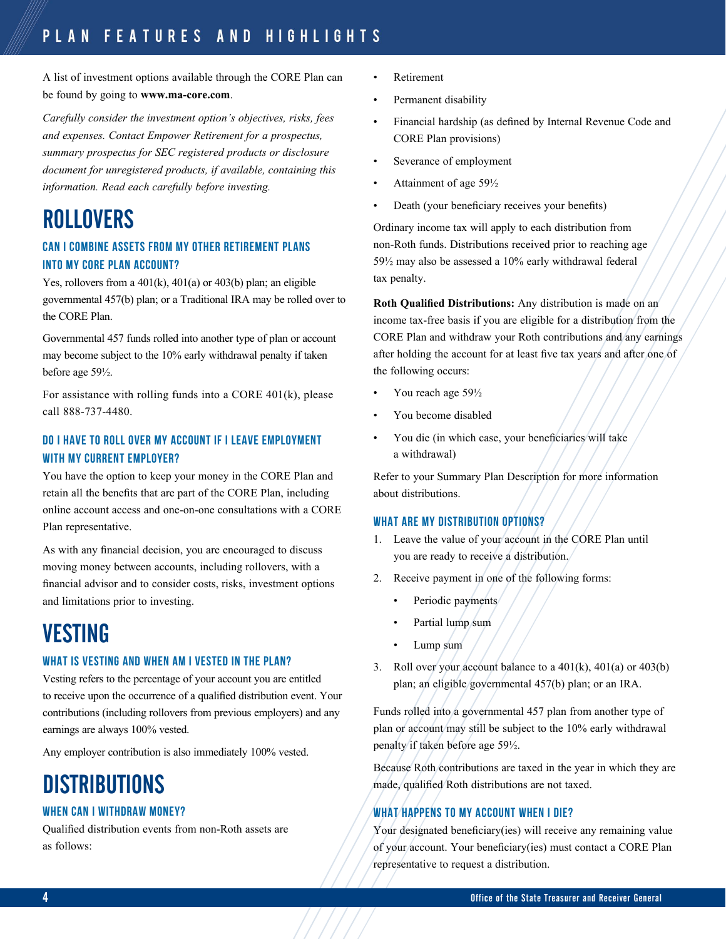A list of investment options available through the CORE Plan can be found by going to **www.ma-core.com**.

*Carefully consider the investment option's objectives, risks, fees and expenses. Contact Empower Retirement for a prospectus, summary prospectus for SEC registered products or disclosure document for unregistered products, if available, containing this information. Read each carefully before investing.* 

# ROLLOVERS

# CAN I COMBINE ASSETS FROM MY OTHER RETIREMENT PLANS INTO MY CORE PLAN ACCOUNT?

Yes, rollovers from a 401(k), 401(a) or 403(b) plan; an eligible governmental 457(b) plan; or a Traditional IRA may be rolled over to the CORE Plan.

Governmental 457 funds rolled into another type of plan or account may become subject to the 10% early withdrawal penalty if taken before age 59½.

For assistance with rolling funds into a CORE 401(k), please call 888-737-4480.

# DO I HAVE TO ROLL OVER MY ACCOUNT IF I LEAVE EMPLOYMENT WITH MY CURRENT EMPLOYER?

You have the option to keep your money in the CORE Plan and retain all the benefits that are part of the CORE Plan, including online account access and one-on-one consultations with a CORE Plan representative.

As with any financial decision, you are encouraged to discuss moving money between accounts, including rollovers, with a financial advisor and to consider costs, risks, investment options and limitations prior to investing.

# VESTING

# WHAT IS VESTING AND WHEN AM I VESTED IN THE PLAN?

Vesting refers to the percentage of your account you are entitled to receive upon the occurrence of a qualified distribution event. Your contributions (including rollovers from previous employers) and any earnings are always 100% vested.

Any employer contribution is also immediately 100% vested.

# **DISTRIBUTIONS**

# WHEN CAN I WITHDRAW MONEY?

Qualified distribution events from non-Roth assets are as follows:

- Retirement
- Permanent disability
- Financial hardship (as defined by Internal Revenue Code and CORE Plan provisions)
- Severance of employment
- Attainment of age 591/2
- Death (your beneficiary receives your benefits)

Ordinary income tax will apply to each distribution from non-Roth funds. Distributions received prior to reaching age 59½ may also be assessed a 10% early withdrawal federal tax penalty.

**Roth Qualified Distributions:** Any distribution is made on an income tax-free basis if you are eligible for a distribution from the CORE Plan and withdraw your Roth contributions and any earnings after holding the account for at least five tax years and after one of the following occurs:

- You reach age 59½
- You become disabled
- You die (in which case, your beneficiaries will take a withdrawal)

Refer to your Summary Plan Description for more information about distributions.

# WHAT ARE MY DISTRIBUTION OPTIONS?

- 1. Leave the value of your account in the CORE Plan until you are ready to receive a distribution.
- 2. Receive payment in one of the following forms:
	- Periodic payments
	- Partial lump sum
	- Lump sum
- 3. Roll over your account balance to a 401(k), 401(a) or 403(b) plan; an eligible governmental 457(b) plan; or an IRA.

Funds rolled into a governmental 457 plan from another type of plan or account may still be subject to the 10% early withdrawal penalty if taken before age 59½.

Because Roth contributions are taxed in the year in which they are made, qualified Roth distributions are not taxed.

# WHAT HAPPENS TO MY ACCOUNT WHEN I DIE?

Your designated beneficiary(ies) will receive any remaining value of your account. Your beneficiary(ies) must contact a CORE Plan representative to request a distribution.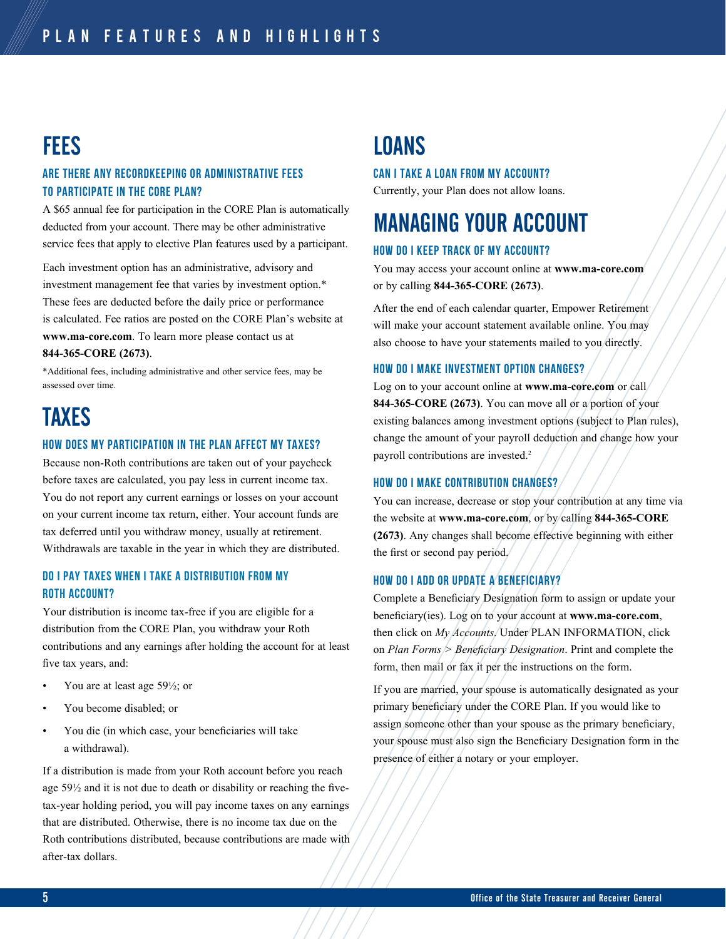# **FEES**

# ARE THERE ANY RECORDKEEPING OR ADMINISTRATIVE FEES TO PARTICIPATE IN THE CORE PLAN?

A \$65 annual fee for participation in the CORE Plan is automatically deducted from your account. There may be other administrative service fees that apply to elective Plan features used by a participant.

Each investment option has an administrative, advisory and investment management fee that varies by investment option.\* These fees are deducted before the daily price or performance is calculated. Fee ratios are posted on the CORE Plan's website at **www.ma-core.com**. To learn more please contact us at **844-365-CORE (2673)**.

\*Additional fees, including administrative and other service fees, may be assessed over time.

# TAXES

### HOW DOES MY PARTICIPATION IN THE PLAN AFFECT MY TAXES?

Because non-Roth contributions are taken out of your paycheck before taxes are calculated, you pay less in current income tax. You do not report any current earnings or losses on your account on your current income tax return, either. Your account funds are tax deferred until you withdraw money, usually at retirement. Withdrawals are taxable in the year in which they are distributed.

# Do I pay taxes when I take a distribution from my Roth account?

Your distribution is income tax-free if you are eligible for a distribution from the CORE Plan, you withdraw your Roth contributions and any earnings after holding the account for at least five tax years, and:

- You are at least age  $59\frac{1}{2}$ ; or
- You become disabled; or
- You die (in which case, your beneficiaries will take a withdrawal).

If a distribution is made from your Roth account before you reach age 59½ and it is not due to death or disability or reaching the fivetax-year holding period, you will pay income taxes on any earnings that are distributed. Otherwise, there is no income tax due on the Roth contributions distributed, because contributions are made with after-tax dollars.

# LOANS

# CAN I TAKE A LOAN FROM MY ACCOUNT?

Currently, your Plan does not allow loans.

# MANAGING YOUR ACCOUNT

# HOW DO I KEEP TRACK OF MY ACCOUNT?

You may access your account online at **www.ma-core.com** or by calling **844-365-CORE (2673)**.

After the end of each calendar quarter, Empower Retirement will make your account statement available online. You may also choose to have your statements mailed to you directly.

### HOW DO I MAKE INVESTMENT OPTION CHANGES?

Log on to your account online at **www.ma-core.com** or call **844-365-CORE (2673)**. You can move all or a portion of your existing balances among investment options (subject to Plan rules), change the amount of your payroll deduction and change how your payroll contributions are invested.<sup>2</sup>

# HOW DO I MAKE CONTRIBUTION CHANGES?

You can increase, decrease or stop your contribution at any time via the website at **www.ma-core.com**, or by calling **844-365-CORE (2673)**. Any changes shall become effective beginning with either the first or second pay period.

# HOW DO I ADD OR UPDATE A BENEFICIARY?

Complete a Beneficiary Designation form to assign or update your beneficiary(ies). Log on to your account at **www.ma-core.com**, then click on *My Accounts*. Under PLAN INFORMATION, click on *Plan Forms > Beneficiary Designation*. Print and complete the form, then mail or fax it per the instructions on the form.

If you are married, your spouse is automatically designated as your primary beneficiary under the CORE Plan. If you would like to assign someone other than your spouse as the primary beneficiary, your spouse must also sign the Beneficiary Designation form in the presence of either a notary or your employer.